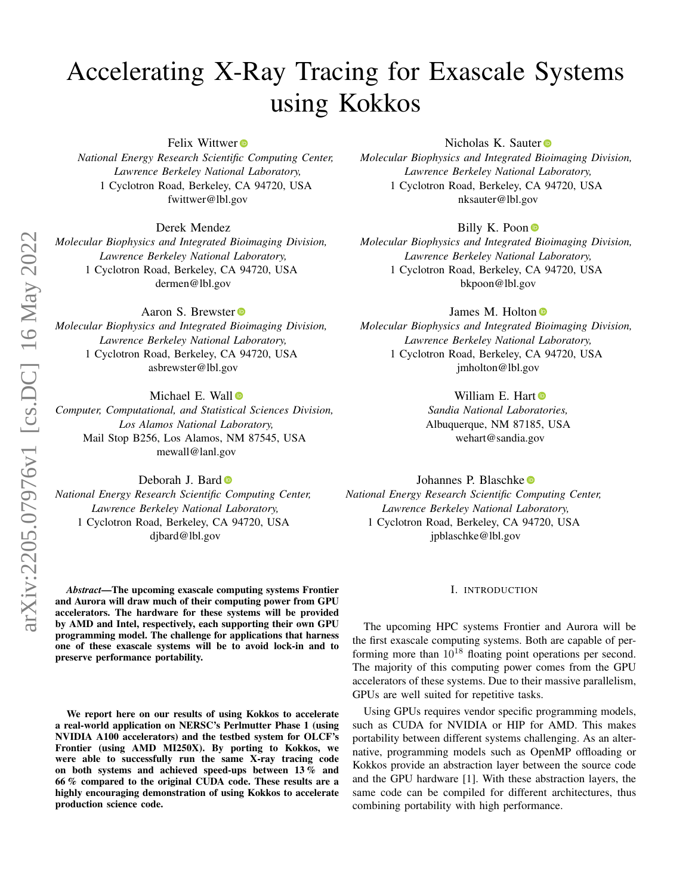# Accelerating X-Ray Tracing for Exascale Systems using Kokkos

Felix Wittwer<sup>®</sup>

*National Energy Research Scientific Computing Center, Lawrence Berkeley National Laboratory,* 1 Cyclotron Road, Berkeley, CA 94720, USA fwittwer@lbl.gov

Derek Mendez

*Molecular Biophysics and Integrated Bioimaging Division, Lawrence Berkeley National Laboratory,* 1 Cyclotron Road, Berkeley, CA 94720, USA dermen@lbl.gov

Aaron S. Brewster

*Molecular Biophysics and Integrated Bioimaging Division, Lawrence Berkeley National Laboratory,* 1 Cyclotron Road, Berkeley, CA 94720, USA asbrewster@lbl.gov

Michael E. Wall

*Computer, Computational, and Statisti[cal](https://orcid.org/0000-0003-1000-688X) Sciences Division, Los Alamos National Laboratory,* Mail Stop B256, Los Alamos, NM 87545, USA mewall@lanl.gov

Deborah J. Bard  $\bullet$ 

*National Energy Research Scientific Computing Center, Lawrence Berkeley National Laboratory,* 1 Cyclotron Road, Berkeley, CA 94720, USA djbard@lbl.gov

*Abstract*—The upcoming exascale computing systems Frontier and Aurora will draw much of their computing power from GPU accelerators. The hardware for these systems will be provided by AMD and Intel, respectively, each supporting their own GPU programming model. The challenge for applications that harness one of these exascale systems will be to avoid lock-in and to preserve performance portability.

We report here on our results of using Kokkos to accelerate a real-world application on NERSC's Perlmutter Phase 1 (using NVIDIA A100 accelerators) and the testbed system for OLCF's Frontier (using AMD MI250X). By porting to Kokkos, we were able to successfully run the same X-ray tracing code on both systems and achieved speed-ups between 13 % and 66 % compared to the original CUDA code. These results are a highly encouraging demonstration of using Kokkos to accelerate production science code.

Nicholas K. Sauter<sup>®</sup>

*Molecular Biophysics and Integrated Bioimaging Division, Lawrence Berkeley National Laboratory,* 1 Cyclotron Road, Berkeley, CA 94720, USA nksauter@lbl.gov

# Billy K. Poon  $\bullet$

*Molecular Biophysics and Integrate[d B](https://orcid.org/0000-0001-9633-6067)ioimaging Division, Lawrence Berkeley National Laboratory,* 1 Cyclotron Road, Berkeley, CA 94720, USA bkpoon@lbl.gov

James M. Holton<sup>®</sup>

*Molecular Biophysics and Integrated Bioimaging Division, Lawrence Berkeley National Laboratory,* 1 Cyclotron Road, Berkeley, CA 94720, USA jmholton@lbl.gov

> William E. Hart *Sandia National Labor[ato](https://orcid.org/0000-0002-6849-2780)ries,* Albuquerque, NM 87185, USA

wehart@sandia.gov

Johannes P. Blaschke *National Energy Research Scientific Computing Center, Lawrence Berkeley National Laboratory,* 1 Cyclotron Road, Berkeley, CA 94720, USA jpblaschke@lbl.gov

## I. INTRODUCTION

The upcoming HPC systems Frontier and Aurora will be the first exascale computing systems. Both are capable of performing more than  $10^{18}$  floating point operations per second. The majority of this computing power comes from the GPU accelerators of these systems. Due to their massive parallelism, GPUs are well suited for repetitive tasks.

Using GPUs requires vendor specific programming models, such as CUDA for NVIDIA or HIP for AMD. This makes portability between different systems challenging. As an alternative, programming models such as OpenMP offloading or Kokkos provide an abstraction layer between the source code and the GPU hardware [\[1\]](#page-5-0). With these abstraction layers, the same code can be compiled for different architectures, thus combining portability with high performance.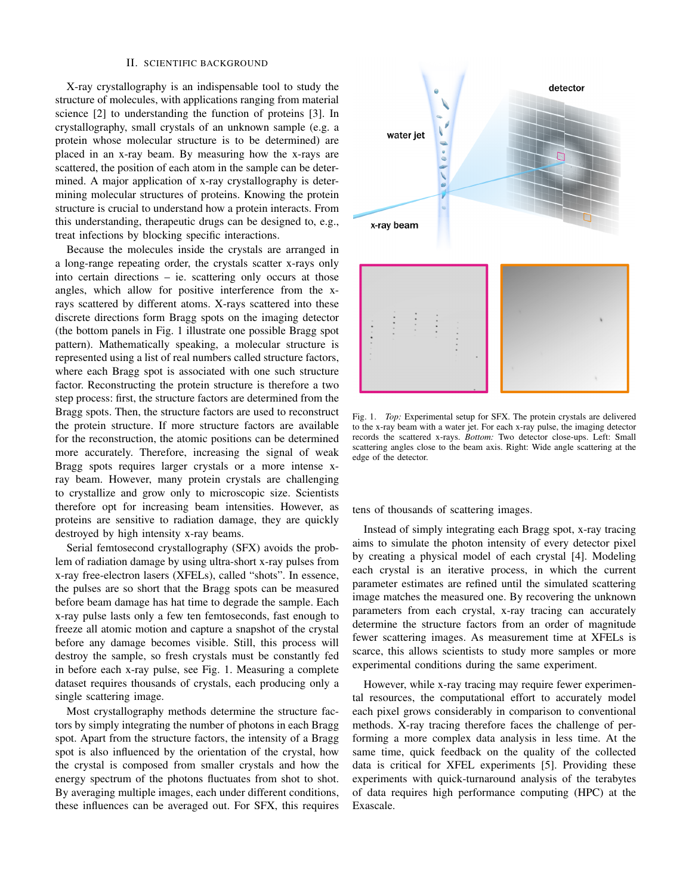#### II. SCIENTIFIC BACKGROUND

X-ray crystallography is an indispensable tool to study the structure of molecules, with applications ranging from material science [\[2\]](#page-5-1) to understanding the function of proteins [\[3\]](#page-5-2). In crystallography, small crystals of an unknown sample (e.g. a protein whose molecular structure is to be determined) are placed in an x-ray beam. By measuring how the x-rays are scattered, the position of each atom in the sample can be determined. A major application of x-ray crystallography is determining molecular structures of proteins. Knowing the protein structure is crucial to understand how a protein interacts. From this understanding, therapeutic drugs can be designed to, e.g., treat infections by blocking specific interactions.

Because the molecules inside the crystals are arranged in a long-range repeating order, the crystals scatter x-rays only into certain directions – ie. scattering only occurs at those angles, which allow for positive interference from the xrays scattered by different atoms. X-rays scattered into these discrete directions form Bragg spots on the imaging detector (the bottom panels in Fig. [1](#page-1-0) illustrate one possible Bragg spot pattern). Mathematically speaking, a molecular structure is represented using a list of real numbers called structure factors, where each Bragg spot is associated with one such structure factor. Reconstructing the protein structure is therefore a two step process: first, the structure factors are determined from the Bragg spots. Then, the structure factors are used to reconstruct the protein structure. If more structure factors are available for the reconstruction, the atomic positions can be determined more accurately. Therefore, increasing the signal of weak Bragg spots requires larger crystals or a more intense xray beam. However, many protein crystals are challenging to crystallize and grow only to microscopic size. Scientists therefore opt for increasing beam intensities. However, as proteins are sensitive to radiation damage, they are quickly destroyed by high intensity x-ray beams.

Serial femtosecond crystallography (SFX) avoids the problem of radiation damage by using ultra-short x-ray pulses from x-ray free-electron lasers (XFELs), called "shots". In essence, the pulses are so short that the Bragg spots can be measured before beam damage has hat time to degrade the sample. Each x-ray pulse lasts only a few ten femtoseconds, fast enough to freeze all atomic motion and capture a snapshot of the crystal before any damage becomes visible. Still, this process will destroy the sample, so fresh crystals must be constantly fed in before each x-ray pulse, see Fig. [1.](#page-1-0) Measuring a complete dataset requires thousands of crystals, each producing only a single scattering image.

Most crystallography methods determine the structure factors by simply integrating the number of photons in each Bragg spot. Apart from the structure factors, the intensity of a Bragg spot is also influenced by the orientation of the crystal, how the crystal is composed from smaller crystals and how the energy spectrum of the photons fluctuates from shot to shot. By averaging multiple images, each under different conditions, these influences can be averaged out. For SFX, this requires



<span id="page-1-0"></span>Fig. 1. *Top:* Experimental setup for SFX. The protein crystals are delivered to the x-ray beam with a water jet. For each x-ray pulse, the imaging detector records the scattered x-rays. *Bottom:* Two detector close-ups. Left: Small scattering angles close to the beam axis. Right: Wide angle scattering at the edge of the detector.

tens of thousands of scattering images.

Instead of simply integrating each Bragg spot, x-ray tracing aims to simulate the photon intensity of every detector pixel by creating a physical model of each crystal [\[4\]](#page-5-3). Modeling each crystal is an iterative process, in which the current parameter estimates are refined until the simulated scattering image matches the measured one. By recovering the unknown parameters from each crystal, x-ray tracing can accurately determine the structure factors from an order of magnitude fewer scattering images. As measurement time at XFELs is scarce, this allows scientists to study more samples or more experimental conditions during the same experiment.

However, while x-ray tracing may require fewer experimental resources, the computational effort to accurately model each pixel grows considerably in comparison to conventional methods. X-ray tracing therefore faces the challenge of performing a more complex data analysis in less time. At the same time, quick feedback on the quality of the collected data is critical for XFEL experiments [\[5\]](#page-5-4). Providing these experiments with quick-turnaround analysis of the terabytes of data requires high performance computing (HPC) at the Exascale.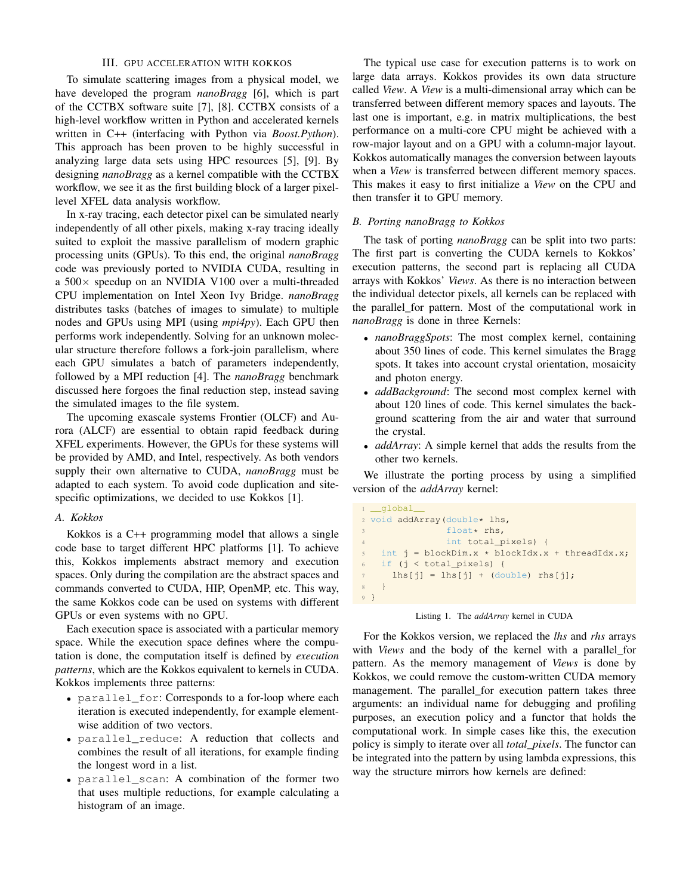# III. GPU ACCELERATION WITH KOKKOS

To simulate scattering images from a physical model, we have developed the program *nanoBragg* [\[6\]](#page-5-5), which is part of the CCTBX software suite [\[7\]](#page-5-6), [\[8\]](#page-5-7). CCTBX consists of a high-level workflow written in Python and accelerated kernels written in C++ (interfacing with Python via *Boost.Python*). This approach has been proven to be highly successful in analyzing large data sets using HPC resources [\[5\]](#page-5-4), [\[9\]](#page-5-8). By designing *nanoBragg* as a kernel compatible with the CCTBX workflow, we see it as the first building block of a larger pixellevel XFEL data analysis workflow.

In x-ray tracing, each detector pixel can be simulated nearly independently of all other pixels, making x-ray tracing ideally suited to exploit the massive parallelism of modern graphic processing units (GPUs). To this end, the original *nanoBragg* code was previously ported to NVIDIA CUDA, resulting in a 500× speedup on an NVIDIA V100 over a multi-threaded CPU implementation on Intel Xeon Ivy Bridge. *nanoBragg* distributes tasks (batches of images to simulate) to multiple nodes and GPUs using MPI (using *mpi4py*). Each GPU then performs work independently. Solving for an unknown molecular structure therefore follows a fork-join parallelism, where each GPU simulates a batch of parameters independently, followed by a MPI reduction [\[4\]](#page-5-3). The *nanoBragg* benchmark discussed here forgoes the final reduction step, instead saving the simulated images to the file system.

The upcoming exascale systems Frontier (OLCF) and Aurora (ALCF) are essential to obtain rapid feedback during XFEL experiments. However, the GPUs for these systems will be provided by AMD, and Intel, respectively. As both vendors supply their own alternative to CUDA, *nanoBragg* must be adapted to each system. To avoid code duplication and sitespecific optimizations, we decided to use Kokkos [\[1\]](#page-5-0).

## *A. Kokkos*

Kokkos is a C++ programming model that allows a single code base to target different HPC platforms [\[1\]](#page-5-0). To achieve this, Kokkos implements abstract memory and execution spaces. Only during the compilation are the abstract spaces and commands converted to CUDA, HIP, OpenMP, etc. This way, the same Kokkos code can be used on systems with different GPUs or even systems with no GPU.

Each execution space is associated with a particular memory space. While the execution space defines where the computation is done, the computation itself is defined by *execution patterns*, which are the Kokkos equivalent to kernels in CUDA. Kokkos implements three patterns:

- parallel\_for: Corresponds to a for-loop where each iteration is executed independently, for example elementwise addition of two vectors.
- parallel\_reduce: A reduction that collects and combines the result of all iterations, for example finding the longest word in a list.
- parallel\_scan: A combination of the former two that uses multiple reductions, for example calculating a histogram of an image.

The typical use case for execution patterns is to work on large data arrays. Kokkos provides its own data structure called *View*. A *View* is a multi-dimensional array which can be transferred between different memory spaces and layouts. The last one is important, e.g. in matrix multiplications, the best performance on a multi-core CPU might be achieved with a row-major layout and on a GPU with a column-major layout. Kokkos automatically manages the conversion between layouts when a *View* is transferred between different memory spaces. This makes it easy to first initialize a *View* on the CPU and then transfer it to GPU memory.

# *B. Porting nanoBragg to Kokkos*

The task of porting *nanoBragg* can be split into two parts: The first part is converting the CUDA kernels to Kokkos' execution patterns, the second part is replacing all CUDA arrays with Kokkos' *Views*. As there is no interaction between the individual detector pixels, all kernels can be replaced with the parallel\_for pattern. Most of the computational work in *nanoBragg* is done in three Kernels:

- *nanoBraggSpots*: The most complex kernel, containing about 350 lines of code. This kernel simulates the Bragg spots. It takes into account crystal orientation, mosaicity and photon energy.
- *addBackground*: The second most complex kernel with about 120 lines of code. This kernel simulates the background scattering from the air and water that surround the crystal.
- *addArray*: A simple kernel that adds the results from the other two kernels.

We illustrate the porting process by using a simplified version of the *addArray* kernel:

```
1 __global
2 void addArray(double* lhs,
3 float* rhs,
                int total_pixels) {
    int j = blockDim.x * blockIdx.x + threadIdx.x;
6 if (j < total_pixels) {
7 lhs[j] = \text{lhs}[j] + (\text{double}) \text{rhs}[j];8 }
9 }
```
## Listing 1. The *addArray* kernel in CUDA

For the Kokkos version, we replaced the *lhs* and *rhs* arrays with *Views* and the body of the kernel with a parallel\_for pattern. As the memory management of *Views* is done by Kokkos, we could remove the custom-written CUDA memory management. The parallel\_for execution pattern takes three arguments: an individual name for debugging and profiling purposes, an execution policy and a functor that holds the computational work. In simple cases like this, the execution policy is simply to iterate over all *total\_pixels*. The functor can be integrated into the pattern by using lambda expressions, this way the structure mirrors how kernels are defined: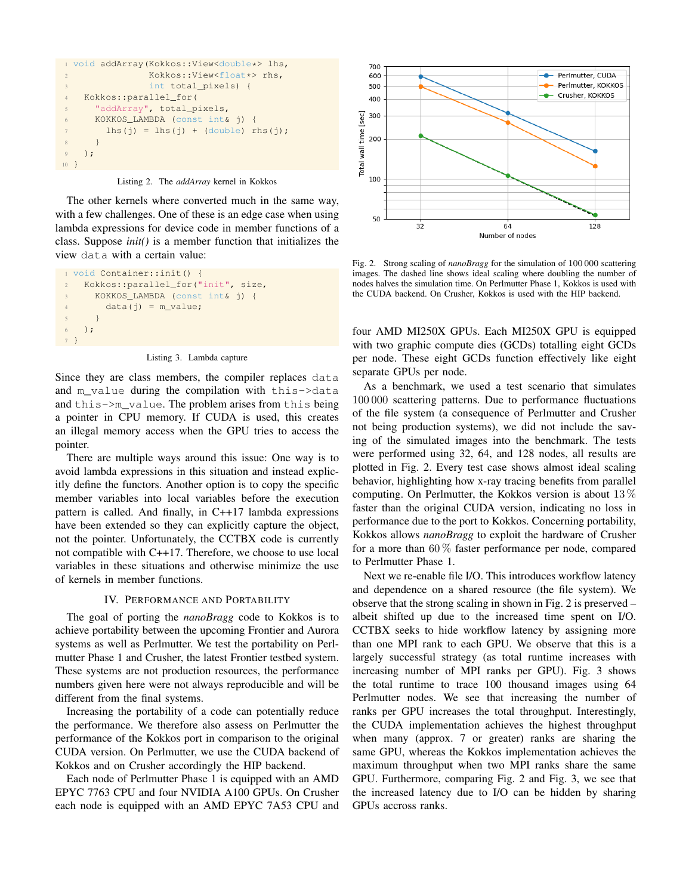```
1 void addArray(Kokkos::View<double*> lhs,
2 Kokkos::View<float*> rhs,
3 int total_pixels) {
4 Kokkos::parallel_for(
5 "addArray", total_pixels,
6 KOKKOS_LAMBDA (const int& j) {
7 lhs(j) = lhs(j) + (double) rhs(j);
8 }
9 );
10 }
```
Listing 2. The *addArray* kernel in Kokkos

The other kernels where converted much in the same way, with a few challenges. One of these is an edge case when using lambda expressions for device code in member functions of a class. Suppose *init()* is a member function that initializes the view data with a certain value:

```
1 void Container::init() {
 2 Kokkos::parallel_for("init", size,
 3 KOKKOS_LAMBDA (const int& j) {
 4 data(j) = m_value;5 }
 6 );
7 }
```
Listing 3. Lambda capture

Since they are class members, the compiler replaces data and m\_value during the compilation with this->data and this->m\_value. The problem arises from this being a pointer in CPU memory. If CUDA is used, this creates an illegal memory access when the GPU tries to access the pointer.

There are multiple ways around this issue: One way is to avoid lambda expressions in this situation and instead explicitly define the functors. Another option is to copy the specific member variables into local variables before the execution pattern is called. And finally, in C++17 lambda expressions have been extended so they can explicitly capture the object, not the pointer. Unfortunately, the CCTBX code is currently not compatible with C++17. Therefore, we choose to use local variables in these situations and otherwise minimize the use of kernels in member functions.

### IV. PERFORMANCE AND PORTABILITY

The goal of porting the *nanoBragg* code to Kokkos is to achieve portability between the upcoming Frontier and Aurora systems as well as Perlmutter. We test the portability on Perlmutter Phase 1 and Crusher, the latest Frontier testbed system. These systems are not production resources, the performance numbers given here were not always reproducible and will be different from the final systems.

Increasing the portability of a code can potentially reduce the performance. We therefore also assess on Perlmutter the performance of the Kokkos port in comparison to the original CUDA version. On Perlmutter, we use the CUDA backend of Kokkos and on Crusher accordingly the HIP backend.

Each node of Perlmutter Phase 1 is equipped with an AMD EPYC 7763 CPU and four NVIDIA A100 GPUs. On Crusher each node is equipped with an AMD EPYC 7A53 CPU and



<span id="page-3-0"></span>Fig. 2. Strong scaling of *nanoBragg* for the simulation of 100 000 scattering images. The dashed line shows ideal scaling where doubling the number of nodes halves the simulation time. On Perlmutter Phase 1, Kokkos is used with the CUDA backend. On Crusher, Kokkos is used with the HIP backend.

four AMD MI250X GPUs. Each MI250X GPU is equipped with two graphic compute dies (GCDs) totalling eight GCDs per node. These eight GCDs function effectively like eight separate GPUs per node.

As a benchmark, we used a test scenario that simulates 100 000 scattering patterns. Due to performance fluctuations of the file system (a consequence of Perlmutter and Crusher not being production systems), we did not include the saving of the simulated images into the benchmark. The tests were performed using 32, 64, and 128 nodes, all results are plotted in Fig. [2.](#page-3-0) Every test case shows almost ideal scaling behavior, highlighting how x-ray tracing benefits from parallel computing. On Perlmutter, the Kokkos version is about 13 % faster than the original CUDA version, indicating no loss in performance due to the port to Kokkos. Concerning portability, Kokkos allows *nanoBragg* to exploit the hardware of Crusher for a more than  $60\%$  faster performance per node, compared to Perlmutter Phase 1.

Next we re-enable file I/O. This introduces workflow latency and dependence on a shared resource (the file system). We observe that the strong scaling in shown in Fig. [2](#page-3-0) is preserved – albeit shifted up due to the increased time spent on I/O. CCTBX seeks to hide workflow latency by assigning more than one MPI rank to each GPU. We observe that this is a largely successful strategy (as total runtime increases with increasing number of MPI ranks per GPU). Fig. [3](#page-4-0) shows the total runtime to trace 100 thousand images using 64 Perlmutter nodes. We see that increasing the number of ranks per GPU increases the total throughput. Interestingly, the CUDA implementation achieves the highest throughput when many (approx. 7 or greater) ranks are sharing the same GPU, whereas the Kokkos implementation achieves the maximum throughput when two MPI ranks share the same GPU. Furthermore, comparing Fig. [2](#page-3-0) and Fig. [3,](#page-4-0) we see that the increased latency due to I/O can be hidden by sharing GPUs accross ranks.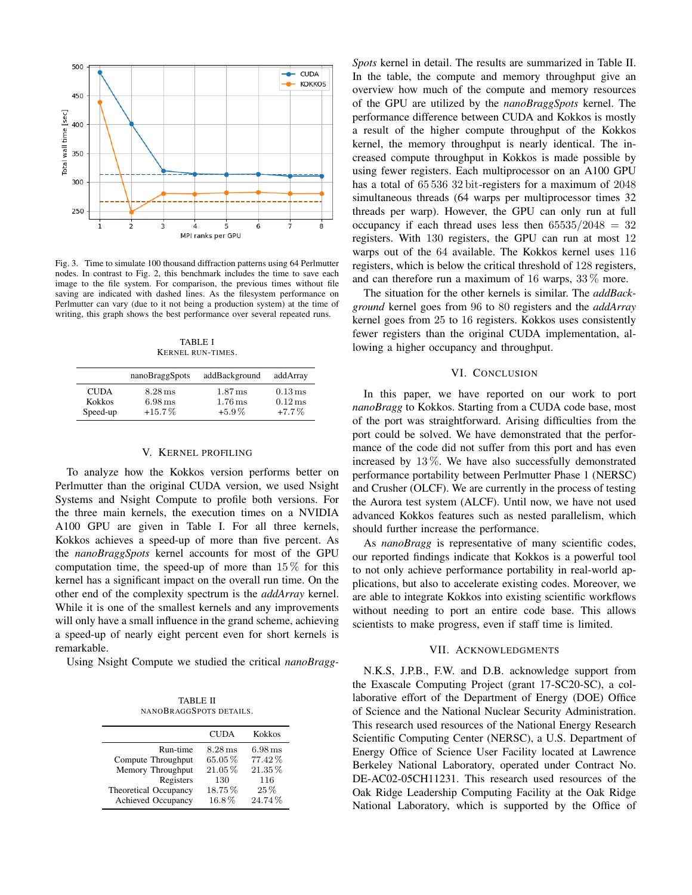

<span id="page-4-0"></span>Fig. 3. Time to simulate 100 thousand diffraction patterns using 64 Perlmutter nodes. In contrast to Fig. [2,](#page-3-0) this benchmark includes the time to save each image to the file system. For comparison, the previous times without file saving are indicated with dashed lines. As the filesystem performance on Perlmutter can vary (due to it not being a production system) at the time of writing, this graph shows the best performance over several repeated runs.

TABLE I KERNEL RUN-TIMES.

<span id="page-4-1"></span>

|               | nanoBraggSpots       | addBackground        | addArray             |
|---------------|----------------------|----------------------|----------------------|
| <b>CUDA</b>   | $8.28 \,\mathrm{ms}$ | $1.87 \,\mathrm{ms}$ | $0.13 \,\mathrm{ms}$ |
| <b>Kokkos</b> | $6.98 \,\mathrm{ms}$ | $1.76 \,\mathrm{ms}$ | $0.12 \,\mathrm{ms}$ |
| Speed-up      | $+15.7\%$            | $+5.9\%$             | $+7.7\%$             |

#### V. KERNEL PROFILING

To analyze how the Kokkos version performs better on Perlmutter than the original CUDA version, we used Nsight Systems and Nsight Compute to profile both versions. For the three main kernels, the execution times on a NVIDIA A100 GPU are given in Table [I.](#page-4-1) For all three kernels, Kokkos achieves a speed-up of more than five percent. As the *nanoBraggSpots* kernel accounts for most of the GPU computation time, the speed-up of more than  $15\%$  for this kernel has a significant impact on the overall run time. On the other end of the complexity spectrum is the *addArray* kernel. While it is one of the smallest kernels and any improvements will only have a small influence in the grand scheme, achieving a speed-up of nearly eight percent even for short kernels is remarkable.

<span id="page-4-2"></span>Using Nsight Compute we studied the critical *nanoBragg-*

TABLE II NANOBRAGGSPOTS DETAILS.

|                       | <b>CUDA</b> | Kokkos               |
|-----------------------|-------------|----------------------|
| Run-time              | $8.28$ ms   | $6.98 \,\mathrm{ms}$ |
| Compute Throughput    | 65.05%      | 77.42%               |
| Memory Throughput     | $21.05\%$   | 21.35%               |
| Registers             | 130         | 116                  |
| Theoretical Occupancy | 18.75%      | $25\%$               |
| Achieved Occupancy    | 16.8%       | 24.74%               |

*Spots* kernel in detail. The results are summarized in Table [II.](#page-4-2) In the table, the compute and memory throughput give an overview how much of the compute and memory resources of the GPU are utilized by the *nanoBraggSpots* kernel. The performance difference between CUDA and Kokkos is mostly a result of the higher compute throughput of the Kokkos kernel, the memory throughput is nearly identical. The increased compute throughput in Kokkos is made possible by using fewer registers. Each multiprocessor on an A100 GPU has a total of 65 536 32 bit-registers for a maximum of 2048 simultaneous threads (64 warps per multiprocessor times 32 threads per warp). However, the GPU can only run at full occupancy if each thread uses less then  $65535/2048 = 32$ registers. With 130 registers, the GPU can run at most 12 warps out of the 64 available. The Kokkos kernel uses 116 registers, which is below the critical threshold of 128 registers, and can therefore run a maximum of 16 warps, 33 % more.

The situation for the other kernels is similar. The *addBackground* kernel goes from 96 to 80 registers and the *addArray* kernel goes from 25 to 16 registers. Kokkos uses consistently fewer registers than the original CUDA implementation, allowing a higher occupancy and throughput.

## VI. CONCLUSION

In this paper, we have reported on our work to port *nanoBragg* to Kokkos. Starting from a CUDA code base, most of the port was straightforward. Arising difficulties from the port could be solved. We have demonstrated that the performance of the code did not suffer from this port and has even increased by 13 %. We have also successfully demonstrated performance portability between Perlmutter Phase 1 (NERSC) and Crusher (OLCF). We are currently in the process of testing the Aurora test system (ALCF). Until now, we have not used advanced Kokkos features such as nested parallelism, which should further increase the performance.

As *nanoBragg* is representative of many scientific codes, our reported findings indicate that Kokkos is a powerful tool to not only achieve performance portability in real-world applications, but also to accelerate existing codes. Moreover, we are able to integrate Kokkos into existing scientific workflows without needing to port an entire code base. This allows scientists to make progress, even if staff time is limited.

## VII. ACKNOWLEDGMENTS

N.K.S, J.P.B., F.W. and D.B. acknowledge support from the Exascale Computing Project (grant 17-SC20-SC), a collaborative effort of the Department of Energy (DOE) Office of Science and the National Nuclear Security Administration. This research used resources of the National Energy Research Scientific Computing Center (NERSC), a U.S. Department of Energy Office of Science User Facility located at Lawrence Berkeley National Laboratory, operated under Contract No. DE-AC02-05CH11231. This research used resources of the Oak Ridge Leadership Computing Facility at the Oak Ridge National Laboratory, which is supported by the Office of